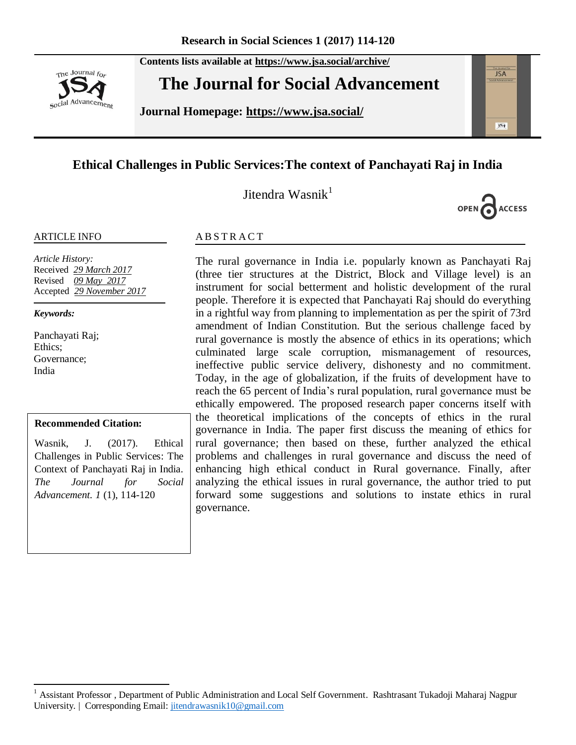**Contents lists available at <https://www.jsa.social/archive/>**



**The Journal for Social Advancement** 

**Journal Homepage: <https://www.jsa.social/>**



# **Ethical Challenges in Public Services:The context of Panchayati Raj in India**

Jitendra Wasnik $<sup>1</sup>$ </sup>



#### ARTICLE INFO

*Article History:*  Received *29 March 2017* Revised *09 May 2017* Accepted *29 November 2017*

*Keywords:* 

 $\overline{a}$ 

Panchayati Raj; Ethics; Governance; India

#### **Recommended Citation:**

Wasnik, J. (2017). Ethical Challenges in Public Services: The Context of Panchayati Raj in India. *The Journal for Social Advancement. 1* (1), 114-120

#### **ABSTRACT**

The rural governance in India i.e. popularly known as Panchayati Raj (three tier structures at the District, Block and Village level) is an instrument for social betterment and holistic development of the rural people. Therefore it is expected that Panchayati Raj should do everything in a rightful way from planning to implementation as per the spirit of 73rd amendment of Indian Constitution. But the serious challenge faced by rural governance is mostly the absence of ethics in its operations; which culminated large scale corruption, mismanagement of resources, ineffective public service delivery, dishonesty and no commitment. Today, in the age of globalization, if the fruits of development have to reach the 65 percent of India's rural population, rural governance must be ethically empowered. The proposed research paper concerns itself with the theoretical implications of the concepts of ethics in the rural governance in India. The paper first discuss the meaning of ethics for rural governance; then based on these, further analyzed the ethical problems and challenges in rural governance and discuss the need of enhancing high ethical conduct in Rural governance. Finally, after analyzing the ethical issues in rural governance, the author tried to put forward some suggestions and solutions to instate ethics in rural governance.

<sup>1</sup> Assistant Professor , Department of Public Administration and Local Self Government. Rashtrasant Tukadoji Maharaj Nagpur University. | Corresponding Email: [jitendrawasnik10@gmail.com](mailto:jitendrawasnik10@gmail.com)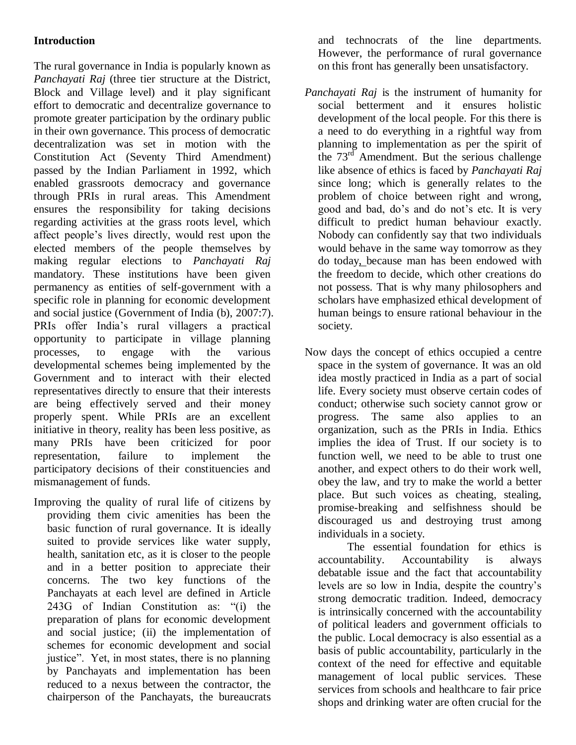# **Introduction**

The rural governance in India is popularly known as *Panchayati Raj* (three tier structure at the District, Block and Village level) and it play significant effort to democratic and decentralize governance to promote greater participation by the ordinary public in their own governance. This process of democratic decentralization was set in motion with the Constitution Act (Seventy Third Amendment) passed by the Indian Parliament in 1992, which enabled grassroots democracy and governance through PRIs in rural areas. This Amendment ensures the responsibility for taking decisions regarding activities at the grass roots level, which affect people's lives directly, would rest upon the elected members of the people themselves by making regular elections to *Panchayati Raj* mandatory. These institutions have been given permanency as entities of self-government with a specific role in planning for economic development and social justice (Government of India (b), 2007:7). PRIs offer India's rural villagers a practical opportunity to participate in village planning processes, to engage with the various developmental schemes being implemented by the Government and to interact with their elected representatives directly to ensure that their interests are being effectively served and their money properly spent. While PRIs are an excellent initiative in theory, reality has been less positive, as many PRIs have been criticized for poor representation, failure to implement the participatory decisions of their constituencies and mismanagement of funds.

Improving the quality of rural life of citizens by providing them civic amenities has been the basic function of rural governance. It is ideally suited to provide services like water supply, health, sanitation etc, as it is closer to the people and in a better position to appreciate their concerns. The two key functions of the Panchayats at each level are defined in Article 243G of Indian Constitution as: "(i) the preparation of plans for economic development and social justice; (ii) the implementation of schemes for economic development and social justice". Yet, in most states, there is no planning by Panchayats and implementation has been reduced to a nexus between the contractor, the chairperson of the Panchayats, the bureaucrats

and technocrats of the line departments. However, the performance of rural governance on this front has generally been unsatisfactory.

- *Panchayati Raj* is the instrument of humanity for social betterment and it ensures holistic development of the local people. For this there is a need to do everything in a rightful way from planning to implementation as per the spirit of the  $73<sup>rd</sup>$  Amendment. But the serious challenge like absence of ethics is faced by *Panchayati Raj* since long; which is generally relates to the problem of choice between right and wrong, good and bad, do's and do not's etc. It is very difficult to predict human behaviour exactly. Nobody can confidently say that two individuals would behave in the same way tomorrow as they do today, because man has been endowed with the freedom to decide, which other creations do not possess. That is why many philosophers and scholars have emphasized ethical development of human beings to ensure rational behaviour in the society.
- Now days the concept of ethics occupied a centre space in the system of governance. It was an old idea mostly practiced in India as a part of social life. Every society must observe certain codes of conduct; otherwise such society cannot grow or progress. The same also applies to an organization, such as the PRIs in India. Ethics implies the idea of Trust. If our society is to function well, we need to be able to trust one another, and expect others to do their work well, obey the law, and try to make the world a better place. But such voices as cheating, stealing, promise-breaking and selfishness should be discouraged us and destroying trust among individuals in a society.

 The essential foundation for ethics is accountability. Accountability is always debatable issue and the fact that accountability levels are so low in India, despite the country's strong democratic tradition. Indeed, democracy is intrinsically concerned with the accountability of political leaders and government officials to the public. Local democracy is also essential as a basis of public accountability, particularly in the context of the need for effective and equitable management of local public services. These services from schools and healthcare to fair price shops and drinking water are often crucial for the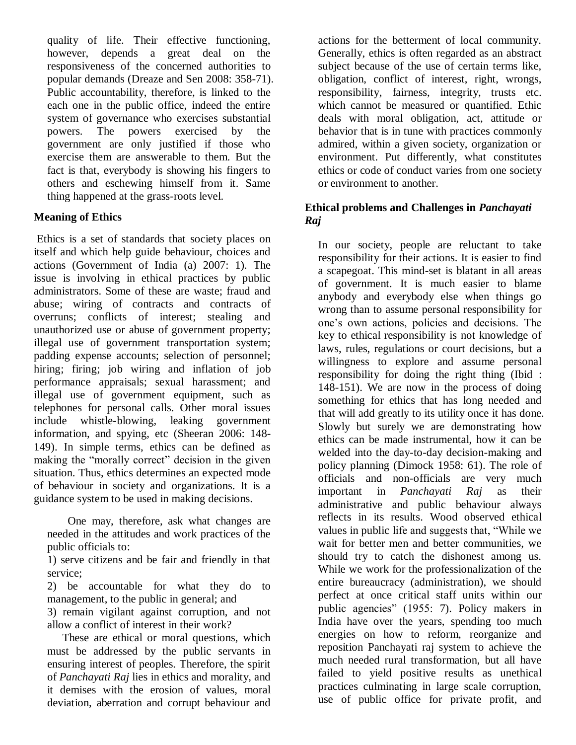quality of life. Their effective functioning, however, depends a great deal on the responsiveness of the concerned authorities to popular demands (Dreaze and Sen 2008: 358-71). Public accountability, therefore, is linked to the each one in the public office, indeed the entire system of governance who exercises substantial powers. The powers exercised by the government are only justified if those who exercise them are answerable to them. But the fact is that, everybody is showing his fingers to others and eschewing himself from it. Same thing happened at the grass-roots level.

# **Meaning of Ethics**

Ethics is a set of standards that society places on itself and which help guide behaviour, choices and actions (Government of India (a) 2007: 1). The issue is involving in ethical practices by public administrators. Some of these are waste; fraud and abuse; wiring of contracts and contracts of overruns; conflicts of interest; stealing and unauthorized use or abuse of government property; illegal use of government transportation system; padding expense accounts; selection of personnel; hiring; firing; job wiring and inflation of job performance appraisals; sexual harassment; and illegal use of government equipment, such as telephones for personal calls. Other moral issues include whistle-blowing, leaking government information, and spying, etc (Sheeran 2006: 148- 149). In simple terms, ethics can be defined as making the "morally correct" decision in the given situation. Thus, ethics determines an expected mode of behaviour in society and organizations. It is a guidance system to be used in making decisions.

 One may, therefore, ask what changes are needed in the attitudes and work practices of the public officials to:

1) serve citizens and be fair and friendly in that service;

2) be accountable for what they do to management, to the public in general; and

3) remain vigilant against corruption, and not allow a conflict of interest in their work?

 These are ethical or moral questions, which must be addressed by the public servants in ensuring interest of peoples. Therefore, the spirit of *Panchayati Raj* lies in ethics and morality, and it demises with the erosion of values, moral deviation, aberration and corrupt behaviour and

actions for the betterment of local community. Generally, ethics is often regarded as an abstract subject because of the use of certain terms like, obligation, conflict of interest, right, wrongs, responsibility, fairness, integrity, trusts etc. which cannot be measured or quantified. Ethic deals with moral obligation, act, attitude or behavior that is in tune with practices commonly admired, within a given society, organization or environment. Put differently, what constitutes ethics or code of conduct varies from one society or environment to another.

### **Ethical problems and Challenges in** *Panchayati Raj*

In our society, people are reluctant to take responsibility for their actions. It is easier to find a scapegoat. This mind-set is blatant in all areas of government. It is much easier to blame anybody and everybody else when things go wrong than to assume personal responsibility for one's own actions, policies and decisions. The key to ethical responsibility is not knowledge of laws, rules, regulations or court decisions, but a willingness to explore and assume personal responsibility for doing the right thing (Ibid : 148-151). We are now in the process of doing something for ethics that has long needed and that will add greatly to its utility once it has done. Slowly but surely we are demonstrating how ethics can be made instrumental, how it can be welded into the day-to-day decision-making and policy planning (Dimock 1958: 61). The role of officials and non-officials are very much important in *Panchayati Raj* as their administrative and public behaviour always reflects in its results. Wood observed ethical values in public life and suggests that, "While we wait for better men and better communities, we should try to catch the dishonest among us. While we work for the professionalization of the entire bureaucracy (administration), we should perfect at once critical staff units within our public agencies" (1955: 7). Policy makers in India have over the years, spending too much energies on how to reform, reorganize and reposition Panchayati raj system to achieve the much needed rural transformation, but all have failed to yield positive results as unethical practices culminating in large scale corruption, use of public office for private profit, and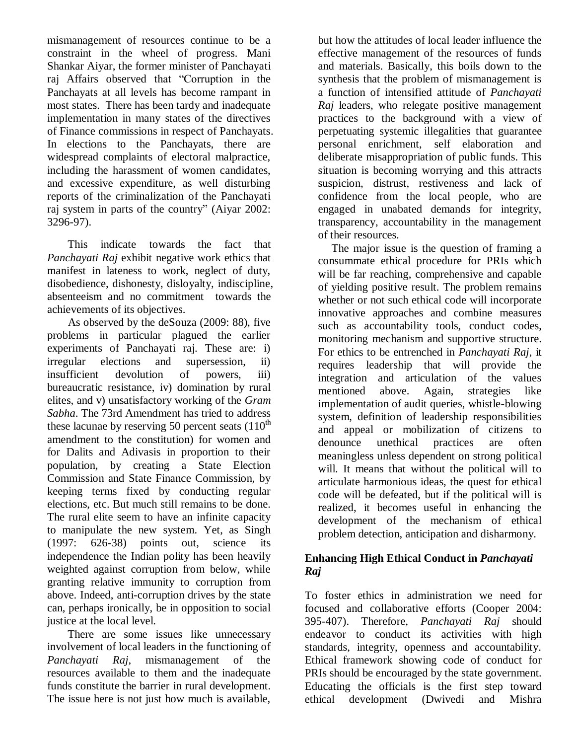mismanagement of resources continue to be a constraint in the wheel of progress. Mani Shankar Aiyar, the former minister of Panchayati raj Affairs observed that "Corruption in the Panchayats at all levels has become rampant in most states. There has been tardy and inadequate implementation in many states of the directives of Finance commissions in respect of Panchayats. In elections to the Panchayats, there are widespread complaints of electoral malpractice, including the harassment of women candidates, and excessive expenditure, as well disturbing reports of the criminalization of the Panchayati raj system in parts of the country" (Aiyar 2002: 3296-97).

This indicate towards the fact that *Panchayati Raj* exhibit negative work ethics that manifest in lateness to work, neglect of duty, disobedience, dishonesty, disloyalty, indiscipline, absenteeism and no commitment towards the achievements of its objectives.

 As observed by the deSouza (2009: 88), five problems in particular plagued the earlier experiments of Panchayati raj. These are: i) irregular elections and supersession, ii) insufficient devolution of powers, iii) bureaucratic resistance, iv) domination by rural elites, and v) unsatisfactory working of the *Gram Sabha*. The 73rd Amendment has tried to address these lacunae by reserving 50 percent seats  $(110<sup>th</sup>)$ amendment to the constitution) for women and for Dalits and Adivasis in proportion to their population, by creating a State Election Commission and State Finance Commission, by keeping terms fixed by conducting regular elections, etc. But much still remains to be done. The rural elite seem to have an infinite capacity to manipulate the new system. Yet, as Singh (1997: 626-38) points out, science its independence the Indian polity has been heavily weighted against corruption from below, while granting relative immunity to corruption from above. Indeed, anti-corruption drives by the state can, perhaps ironically, be in opposition to social justice at the local level.

There are some issues like unnecessary involvement of local leaders in the functioning of *Panchayati Raj*, mismanagement of the resources available to them and the inadequate funds constitute the barrier in rural development. The issue here is not just how much is available,

but how the attitudes of local leader influence the effective management of the resources of funds and materials. Basically, this boils down to the synthesis that the problem of mismanagement is a function of intensified attitude of *Panchayati Raj* leaders, who relegate positive management practices to the background with a view of perpetuating systemic illegalities that guarantee personal enrichment, self elaboration and deliberate misappropriation of public funds. This situation is becoming worrying and this attracts suspicion, distrust, restiveness and lack of confidence from the local people, who are engaged in unabated demands for integrity, transparency, accountability in the management of their resources.

The major issue is the question of framing a consummate ethical procedure for PRIs which will be far reaching, comprehensive and capable of yielding positive result. The problem remains whether or not such ethical code will incorporate innovative approaches and combine measures such as accountability tools, conduct codes, monitoring mechanism and supportive structure. For ethics to be entrenched in *Panchayati Raj*, it requires leadership that will provide the integration and articulation of the values mentioned above. Again, strategies like implementation of audit queries, whistle-blowing system, definition of leadership responsibilities and appeal or mobilization of citizens to denounce unethical practices are often meaningless unless dependent on strong political will. It means that without the political will to articulate harmonious ideas, the quest for ethical code will be defeated, but if the political will is realized, it becomes useful in enhancing the development of the mechanism of ethical problem detection, anticipation and disharmony.

## **Enhancing High Ethical Conduct in** *Panchayati Raj*

To foster ethics in administration we need for focused and collaborative efforts (Cooper 2004: 395-407). Therefore, *Panchayati Raj* should endeavor to conduct its activities with high standards, integrity, openness and accountability. Ethical framework showing code of conduct for PRIs should be encouraged by the state government. Educating the officials is the first step toward ethical development (Dwivedi and Mishra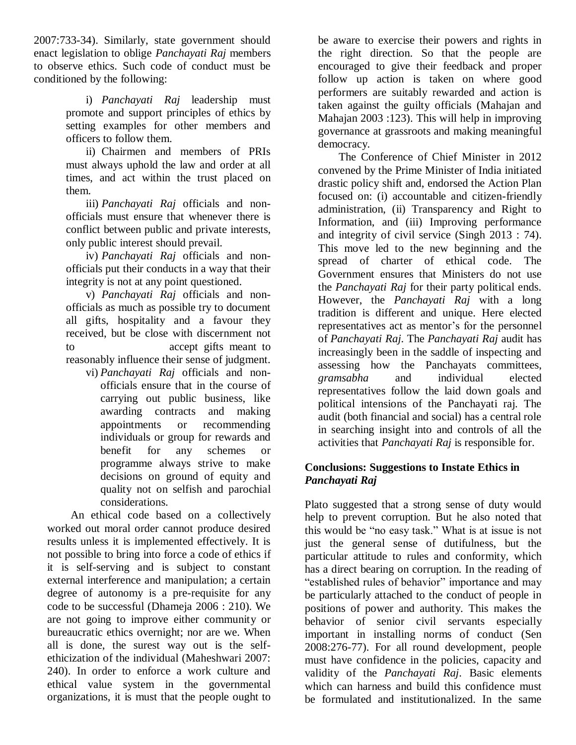2007:733-34). Similarly, state government should enact legislation to oblige *Panchayati Raj* members to observe ethics. Such code of conduct must be conditioned by the following:

> i) *Panchayati Raj* leadership must promote and support principles of ethics by setting examples for other members and officers to follow them.

> ii) Chairmen and members of PRIs must always uphold the law and order at all times, and act within the trust placed on them.

> iii) *Panchayati Raj* officials and nonofficials must ensure that whenever there is conflict between public and private interests, only public interest should prevail.

> iv) *Panchayati Raj* officials and nonofficials put their conducts in a way that their integrity is not at any point questioned.

> v) *Panchayati Raj* officials and nonofficials as much as possible try to document all gifts, hospitality and a favour they received, but be close with discernment not to accept gifts meant to reasonably influence their sense of judgment.

vi) *Panchayati Raj* officials and nonofficials ensure that in the course of carrying out public business, like awarding contracts and making appointments or recommending individuals or group for rewards and benefit for any schemes or programme always strive to make decisions on ground of equity and quality not on selfish and parochial considerations.

 An ethical code based on a collectively worked out moral order cannot produce desired results unless it is implemented effectively. It is not possible to bring into force a code of ethics if it is self-serving and is subject to constant external interference and manipulation; a certain degree of autonomy is a pre-requisite for any code to be successful (Dhameja 2006 : 210). We are not going to improve either community or bureaucratic ethics overnight; nor are we. When all is done, the surest way out is the selfethicization of the individual (Maheshwari 2007: 240). In order to enforce a work culture and ethical value system in the governmental organizations, it is must that the people ought to

be aware to exercise their powers and rights in the right direction. So that the people are encouraged to give their feedback and proper follow up action is taken on where good performers are suitably rewarded and action is taken against the guilty officials (Mahajan and Mahajan 2003 :123). This will help in improving governance at grassroots and making meaningful democracy.

The Conference of Chief Minister in 2012 convened by the Prime Minister of India initiated drastic policy shift and, endorsed the Action Plan focused on: (i) accountable and citizen-friendly administration, (ii) Transparency and Right to Information, and (iii) Improving performance and integrity of civil service (Singh 2013 : 74). This move led to the new beginning and the spread of charter of ethical code. The Government ensures that Ministers do not use the *Panchayati Raj* for their party political ends. However, the *Panchayati Raj* with a long tradition is different and unique. Here elected representatives act as mentor's for the personnel of *Panchayati Raj*. The *Panchayati Raj* audit has increasingly been in the saddle of inspecting and assessing how the Panchayats committees, *gramsabha* and individual elected representatives follow the laid down goals and political intensions of the Panchayati raj. The audit (both financial and social) has a central role in searching insight into and controls of all the activities that *Panchayati Raj* is responsible for.

### **Conclusions: Suggestions to Instate Ethics in**  *Panchayati Raj*

Plato suggested that a strong sense of duty would help to prevent corruption. But he also noted that this would be "no easy task." What is at issue is not just the general sense of dutifulness, but the particular attitude to rules and conformity, which has a direct bearing on corruption. In the reading of "established rules of behavior" importance and may be particularly attached to the conduct of people in positions of power and authority. This makes the behavior of senior civil servants especially important in installing norms of conduct (Sen 2008:276-77). For all round development, people must have confidence in the policies, capacity and validity of the *Panchayati Raj*. Basic elements which can harness and build this confidence must be formulated and institutionalized. In the same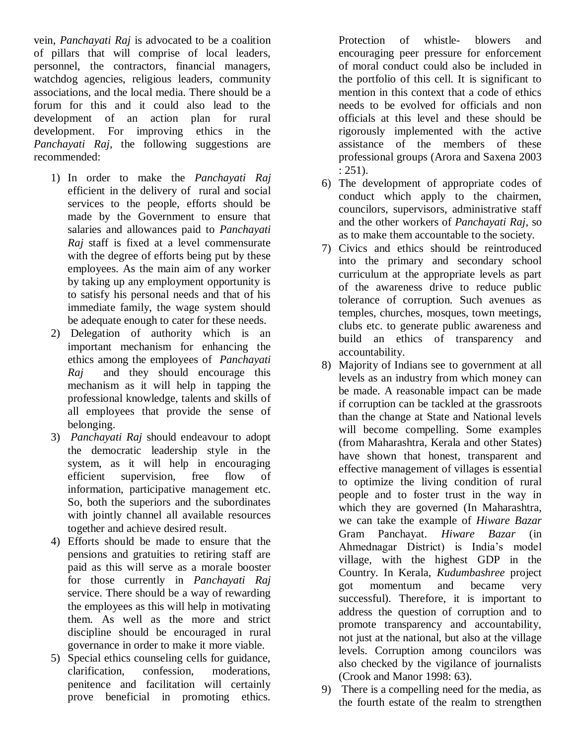vein, *Panchayati Raj* is advocated to be a coalition of pillars that will comprise of local leaders, personnel, the contractors, financial managers, watchdog agencies, religious leaders, community associations, and the local media. There should be a forum for this and it could also lead to the development of an action plan for rural development. For improving ethics in the *Panchayati Raj*, the following suggestions are recommended:

- 1) In order to make the *Panchayati Raj* efficient in the delivery of rural and social services to the people, efforts should be made by the Government to ensure that salaries and allowances paid to *Panchayati Raj* staff is fixed at a level commensurate with the degree of efforts being put by these employees. As the main aim of any worker by taking up any employment opportunity is to satisfy his personal needs and that of his immediate family, the wage system should be adequate enough to cater for these needs.
- 2) Delegation of authority which is an important mechanism for enhancing the ethics among the employees of *Panchayati Raj* and they should encourage this mechanism as it will help in tapping the professional knowledge, talents and skills of all employees that provide the sense of belonging.
- 3) *Panchayati Raj* should endeavour to adopt the democratic leadership style in the system, as it will help in encouraging efficient supervision, free flow of information, participative management etc. So, both the superiors and the subordinates with jointly channel all available resources together and achieve desired result.
- 4) Efforts should be made to ensure that the pensions and gratuities to retiring staff are paid as this will serve as a morale booster for those currently in *Panchayati Raj* service. There should be a way of rewarding the employees as this will help in motivating them. As well as the more and strict discipline should be encouraged in rural governance in order to make it more viable.
- 5) Special ethics counseling cells for guidance, clarification, confession, moderations, penitence and facilitation will certainly prove beneficial in promoting ethics.

Protection of whistle- blowers and encouraging peer pressure for enforcement of moral conduct could also be included in the portfolio of this cell. It is significant to mention in this context that a code of ethics needs to be evolved for officials and non officials at this level and these should be rigorously implemented with the active assistance of the members of these professional groups (Arora and Saxena 2003 : 251).

- 6) The development of appropriate codes of conduct which apply to the chairmen, councilors, supervisors, administrative staff and the other workers of *Panchayati Raj*, so as to make them accountable to the society.
- 7) Civics and ethics should be reintroduced into the primary and secondary school curriculum at the appropriate levels as part of the awareness drive to reduce public tolerance of corruption. Such avenues as temples, churches, mosques, town meetings, clubs etc. to generate public awareness and build an ethics of transparency and accountability.
- 8) Majority of Indians see to government at all levels as an industry from which money can be made. A reasonable impact can be made if corruption can be tackled at the grassroots than the change at State and National levels will become compelling. Some examples (from Maharashtra, Kerala and other States) have shown that honest, transparent and effective management of villages is essential to optimize the living condition of rural people and to foster trust in the way in which they are governed (In Maharashtra, we can take the example of *Hiware Bazar* Gram Panchayat. *Hiware Bazar* (in Ahmednagar District) is India's model village, with the highest GDP in the Country. In Kerala, *Kudumbashree* project got momentum and became very successful). Therefore, it is important to address the question of corruption and to promote transparency and accountability, not just at the national, but also at the village levels. Corruption among councilors was also checked by the vigilance of journalists (Crook and Manor 1998: 63).
- 9) There is a compelling need for the media, as the fourth estate of the realm to strengthen